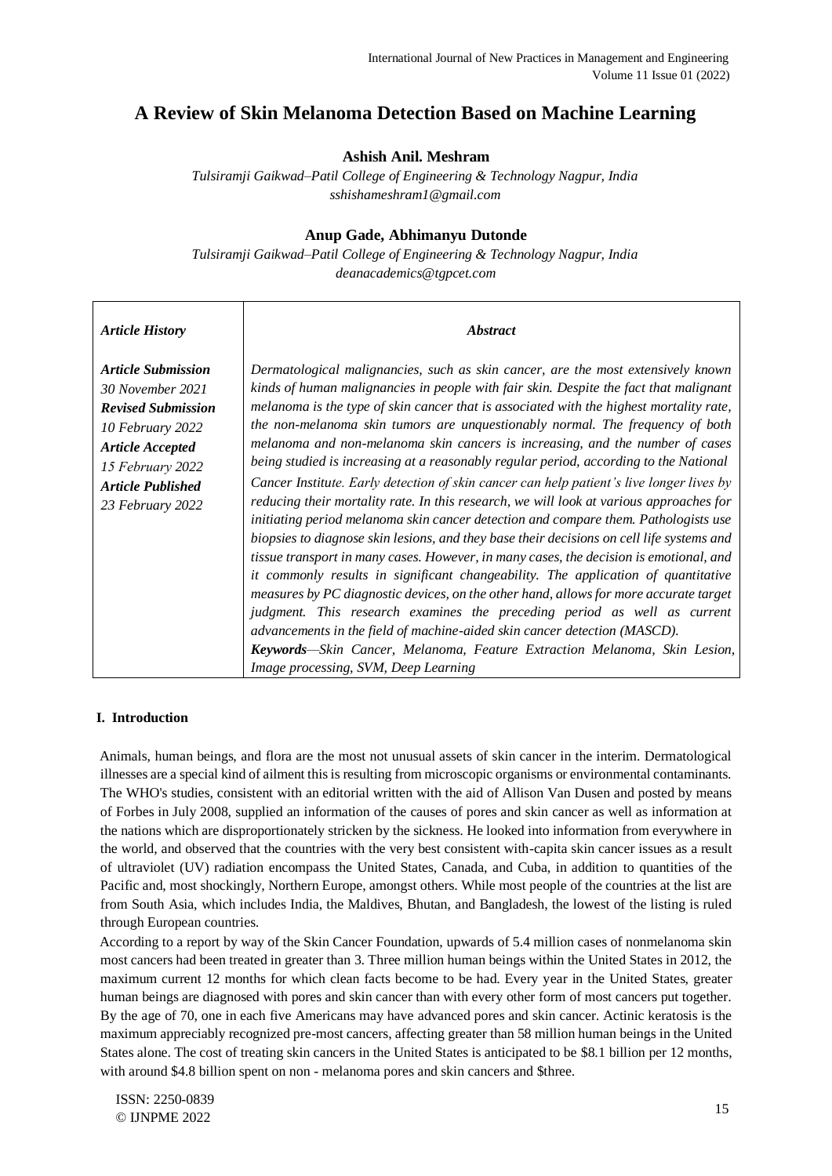# **A Review of Skin Melanoma Detection Based on Machine Learning**

# **Ashish Anil. Meshram**

*Tulsiramji Gaikwad–Patil College of Engineering & Technology Nagpur, India sshishameshram1@gmail.com* 

# **Anup Gade, Abhimanyu Dutonde**

*Tulsiramji Gaikwad–Patil College of Engineering & Technology Nagpur, India deanacademics@tgpcet.com* 

| <b>Article History</b>                                                                                                                                                                        | <i><b>Abstract</b></i>                                                                                                                                                                                                                                                                                                                                                                                                                                                                                                                                                                                                                                                                                                                                                                                                                                                                                                                                                                                                                                                                                                                                                                                                                                                                                                                                                                                                                                           |
|-----------------------------------------------------------------------------------------------------------------------------------------------------------------------------------------------|------------------------------------------------------------------------------------------------------------------------------------------------------------------------------------------------------------------------------------------------------------------------------------------------------------------------------------------------------------------------------------------------------------------------------------------------------------------------------------------------------------------------------------------------------------------------------------------------------------------------------------------------------------------------------------------------------------------------------------------------------------------------------------------------------------------------------------------------------------------------------------------------------------------------------------------------------------------------------------------------------------------------------------------------------------------------------------------------------------------------------------------------------------------------------------------------------------------------------------------------------------------------------------------------------------------------------------------------------------------------------------------------------------------------------------------------------------------|
| <b>Article Submission</b><br>30 November 2021<br><b>Revised Submission</b><br>10 February 2022<br><b>Article Accepted</b><br>15 February 2022<br><b>Article Published</b><br>23 February 2022 | Dermatological malignancies, such as skin cancer, are the most extensively known<br>kinds of human malignancies in people with fair skin. Despite the fact that malignant<br>melanoma is the type of skin cancer that is associated with the highest mortality rate,<br>the non-melanoma skin tumors are unquestionably normal. The frequency of both<br>melanoma and non-melanoma skin cancers is increasing, and the number of cases<br>being studied is increasing at a reasonably regular period, according to the National<br>Cancer Institute. Early detection of skin cancer can help patient's live longer lives by<br>reducing their mortality rate. In this research, we will look at various approaches for<br>initiating period melanoma skin cancer detection and compare them. Pathologists use<br>biopsies to diagnose skin lesions, and they base their decisions on cell life systems and<br>tissue transport in many cases. However, in many cases, the decision is emotional, and<br>it commonly results in significant changeability. The application of quantitative<br>measures by PC diagnostic devices, on the other hand, allows for more accurate target<br>judgment. This research examines the preceding period as well as current<br>advancements in the field of machine-aided skin cancer detection (MASCD).<br>Keywords—Skin Cancer, Melanoma, Feature Extraction Melanoma, Skin Lesion,<br>Image processing, SVM, Deep Learning |

# **I. Introduction**

Animals, human beings, and flora are the most not unusual assets of skin cancer in the interim. Dermatological illnesses are a special kind of ailment this is resulting from microscopic organisms or environmental contaminants. The WHO's studies, consistent with an editorial written with the aid of Allison Van Dusen and posted by means of Forbes in July 2008, supplied an information of the causes of pores and skin cancer as well as information at the nations which are disproportionately stricken by the sickness. He looked into information from everywhere in the world, and observed that the countries with the very best consistent with-capita skin cancer issues as a result of ultraviolet (UV) radiation encompass the United States, Canada, and Cuba, in addition to quantities of the Pacific and, most shockingly, Northern Europe, amongst others. While most people of the countries at the list are from South Asia, which includes India, the Maldives, Bhutan, and Bangladesh, the lowest of the listing is ruled through European countries.

According to a report by way of the Skin Cancer Foundation, upwards of 5.4 million cases of nonmelanoma skin most cancers had been treated in greater than 3. Three million human beings within the United States in 2012, the maximum current 12 months for which clean facts become to be had. Every year in the United States, greater human beings are diagnosed with pores and skin cancer than with every other form of most cancers put together. By the age of 70, one in each five Americans may have advanced pores and skin cancer. Actinic keratosis is the maximum appreciably recognized pre-most cancers, affecting greater than 58 million human beings in the United States alone. The cost of treating skin cancers in the United States is anticipated to be \$8.1 billion per 12 months, with around \$4.8 billion spent on non - melanoma pores and skin cancers and \$three.

ISSN: 2250-0839 © IJNPME 2022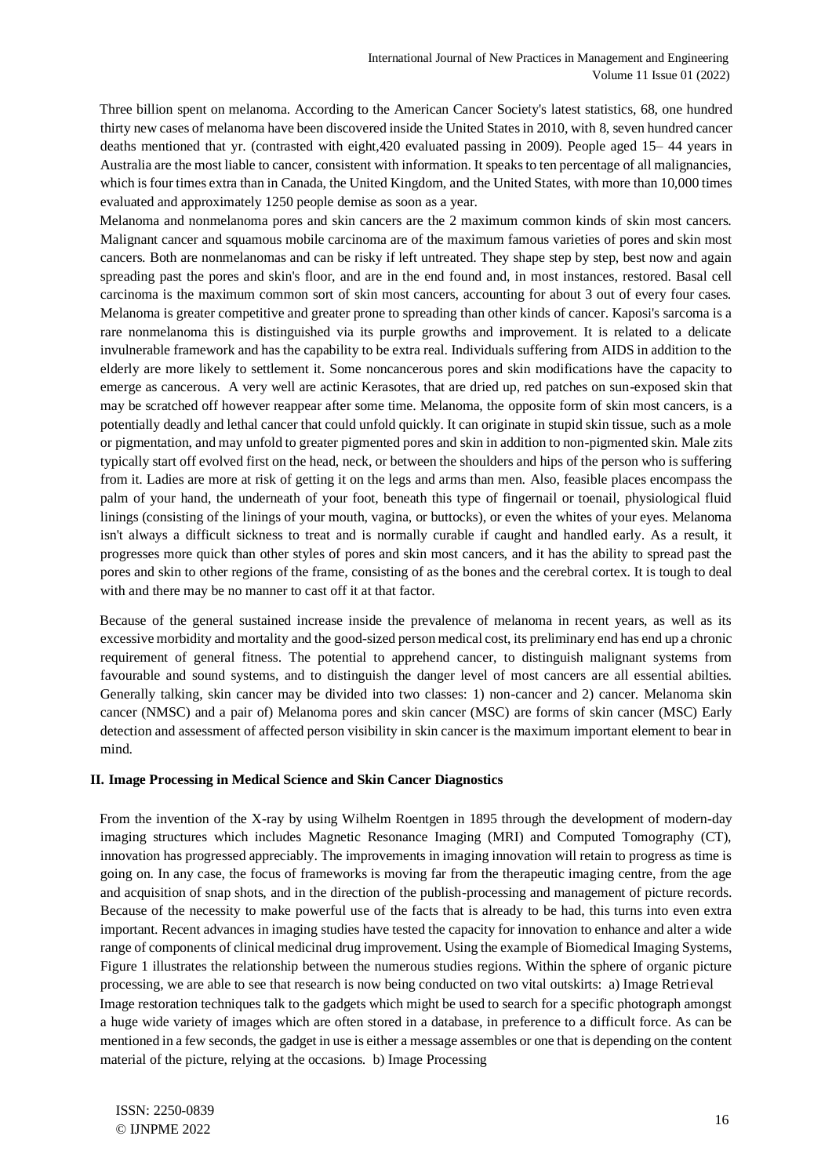Three billion spent on melanoma. According to the American Cancer Society's latest statistics, 68, one hundred thirty new cases of melanoma have been discovered inside the United States in 2010, with 8, seven hundred cancer deaths mentioned that yr. (contrasted with eight,420 evaluated passing in 2009). People aged 15– 44 years in Australia are the most liable to cancer, consistent with information. It speaks to ten percentage of all malignancies, which is four times extra than in Canada, the United Kingdom, and the United States, with more than 10,000 times evaluated and approximately 1250 people demise as soon as a year.

Melanoma and nonmelanoma pores and skin cancers are the 2 maximum common kinds of skin most cancers. Malignant cancer and squamous mobile carcinoma are of the maximum famous varieties of pores and skin most cancers. Both are nonmelanomas and can be risky if left untreated. They shape step by step, best now and again spreading past the pores and skin's floor, and are in the end found and, in most instances, restored. Basal cell carcinoma is the maximum common sort of skin most cancers, accounting for about 3 out of every four cases. Melanoma is greater competitive and greater prone to spreading than other kinds of cancer. Kaposi's sarcoma is a rare nonmelanoma this is distinguished via its purple growths and improvement. It is related to a delicate invulnerable framework and has the capability to be extra real. Individuals suffering from AIDS in addition to the elderly are more likely to settlement it. Some noncancerous pores and skin modifications have the capacity to emerge as cancerous. A very well are actinic Kerasotes, that are dried up, red patches on sun-exposed skin that may be scratched off however reappear after some time. Melanoma, the opposite form of skin most cancers, is a potentially deadly and lethal cancer that could unfold quickly. It can originate in stupid skin tissue, such as a mole or pigmentation, and may unfold to greater pigmented pores and skin in addition to non-pigmented skin. Male zits typically start off evolved first on the head, neck, or between the shoulders and hips of the person who is suffering from it. Ladies are more at risk of getting it on the legs and arms than men. Also, feasible places encompass the palm of your hand, the underneath of your foot, beneath this type of fingernail or toenail, physiological fluid linings (consisting of the linings of your mouth, vagina, or buttocks), or even the whites of your eyes. Melanoma isn't always a difficult sickness to treat and is normally curable if caught and handled early. As a result, it progresses more quick than other styles of pores and skin most cancers, and it has the ability to spread past the pores and skin to other regions of the frame, consisting of as the bones and the cerebral cortex. It is tough to deal with and there may be no manner to cast off it at that factor.

Because of the general sustained increase inside the prevalence of melanoma in recent years, as well as its excessive morbidity and mortality and the good-sized person medical cost, its preliminary end has end up a chronic requirement of general fitness. The potential to apprehend cancer, to distinguish malignant systems from favourable and sound systems, and to distinguish the danger level of most cancers are all essential abilties. Generally talking, skin cancer may be divided into two classes: 1) non-cancer and 2) cancer. Melanoma skin cancer (NMSC) and a pair of) Melanoma pores and skin cancer (MSC) are forms of skin cancer (MSC) Early detection and assessment of affected person visibility in skin cancer is the maximum important element to bear in mind.

### **II. Image Processing in Medical Science and Skin Cancer Diagnostics**

From the invention of the X-ray by using Wilhelm Roentgen in 1895 through the development of modern-day imaging structures which includes Magnetic Resonance Imaging (MRI) and Computed Tomography (CT), innovation has progressed appreciably. The improvements in imaging innovation will retain to progress as time is going on. In any case, the focus of frameworks is moving far from the therapeutic imaging centre, from the age and acquisition of snap shots, and in the direction of the publish-processing and management of picture records. Because of the necessity to make powerful use of the facts that is already to be had, this turns into even extra important. Recent advances in imaging studies have tested the capacity for innovation to enhance and alter a wide range of components of clinical medicinal drug improvement. Using the example of Biomedical Imaging Systems, Figure 1 illustrates the relationship between the numerous studies regions. Within the sphere of organic picture processing, we are able to see that research is now being conducted on two vital outskirts: a) Image Retrieval Image restoration techniques talk to the gadgets which might be used to search for a specific photograph amongst a huge wide variety of images which are often stored in a database, in preference to a difficult force. As can be mentioned in a few seconds, the gadget in use is either a message assembles or one that is depending on the content material of the picture, relying at the occasions. b) Image Processing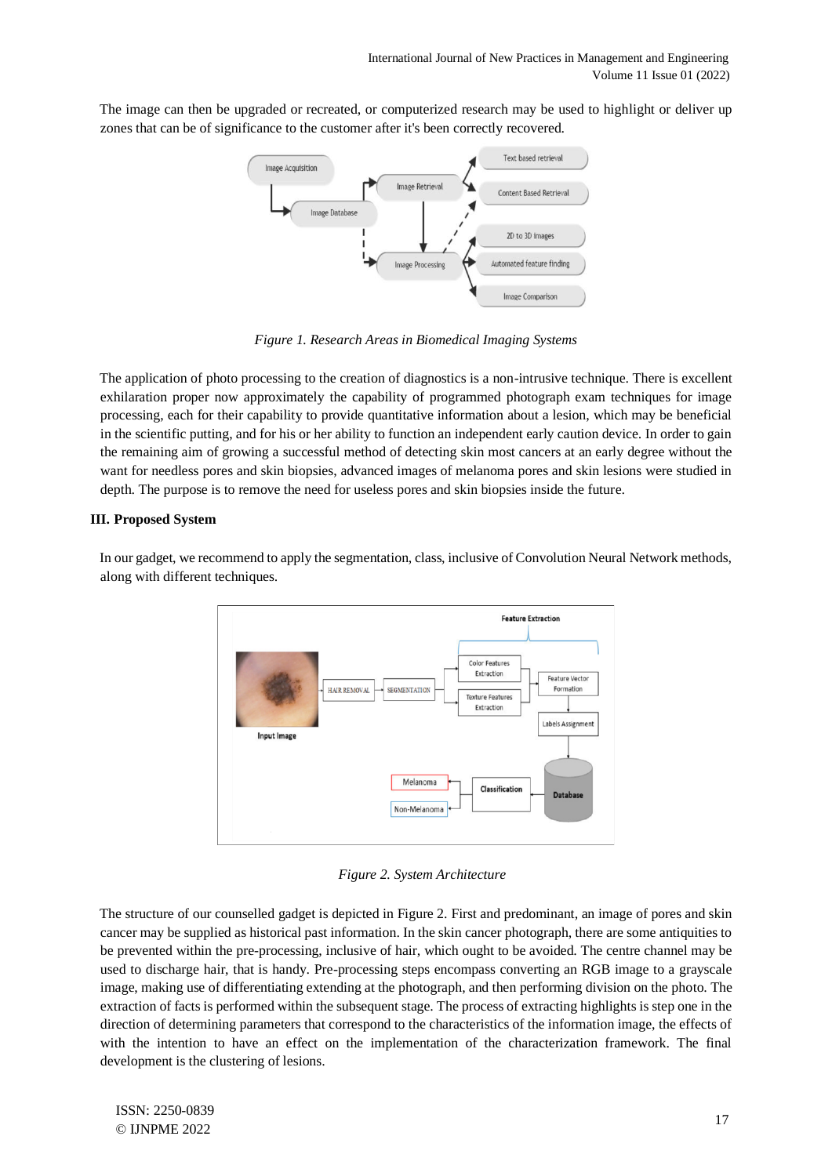The image can then be upgraded or recreated, or computerized research may be used to highlight or deliver up zones that can be of significance to the customer after it's been correctly recovered.



*Figure 1. Research Areas in Biomedical Imaging Systems* 

The application of photo processing to the creation of diagnostics is a non-intrusive technique. There is excellent exhilaration proper now approximately the capability of programmed photograph exam techniques for image processing, each for their capability to provide quantitative information about a lesion, which may be beneficial in the scientific putting, and for his or her ability to function an independent early caution device. In order to gain the remaining aim of growing a successful method of detecting skin most cancers at an early degree without the want for needless pores and skin biopsies, advanced images of melanoma pores and skin lesions were studied in depth. The purpose is to remove the need for useless pores and skin biopsies inside the future.

# **III. Proposed System**

**Feature Extraction** Color Features Extraction Feature Vector HAIR REMOVAL **SEGMENTATION** Formation **Texture Features** Extraction Labels Assignment Input Image Melanoma Classification Database Non-Melanoma

In our gadget, we recommend to apply the segmentation, class, inclusive of Convolution Neural Network methods, along with different techniques.

*Figure 2. System Architecture* 

The structure of our counselled gadget is depicted in Figure 2. First and predominant, an image of pores and skin cancer may be supplied as historical past information. In the skin cancer photograph, there are some antiquities to be prevented within the pre-processing, inclusive of hair, which ought to be avoided. The centre channel may be used to discharge hair, that is handy. Pre-processing steps encompass converting an RGB image to a grayscale image, making use of differentiating extending at the photograph, and then performing division on the photo. The extraction of facts is performed within the subsequent stage. The process of extracting highlights is step one in the direction of determining parameters that correspond to the characteristics of the information image, the effects of with the intention to have an effect on the implementation of the characterization framework. The final development is the clustering of lesions.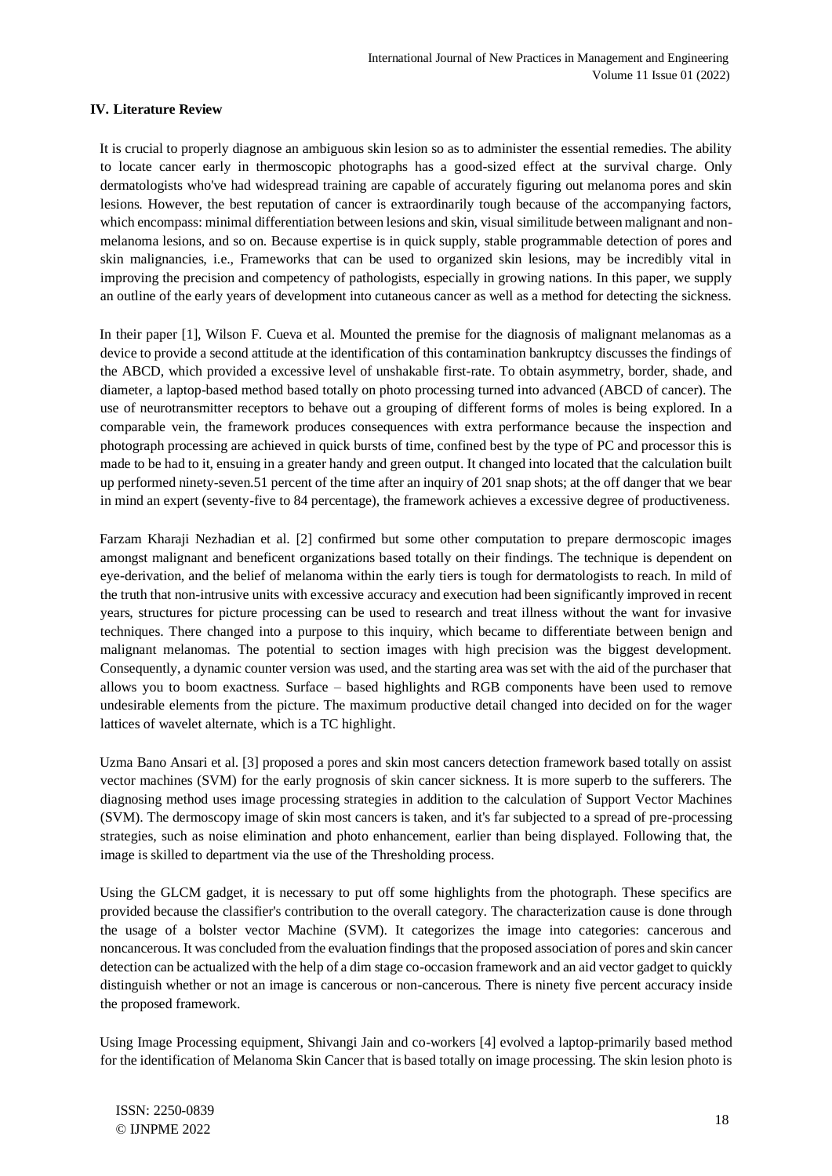## **IV. Literature Review**

It is crucial to properly diagnose an ambiguous skin lesion so as to administer the essential remedies. The ability to locate cancer early in thermoscopic photographs has a good-sized effect at the survival charge. Only dermatologists who've had widespread training are capable of accurately figuring out melanoma pores and skin lesions. However, the best reputation of cancer is extraordinarily tough because of the accompanying factors, which encompass: minimal differentiation between lesions and skin, visual similitude between malignant and nonmelanoma lesions, and so on. Because expertise is in quick supply, stable programmable detection of pores and skin malignancies, i.e., Frameworks that can be used to organized skin lesions, may be incredibly vital in improving the precision and competency of pathologists, especially in growing nations. In this paper, we supply an outline of the early years of development into cutaneous cancer as well as a method for detecting the sickness.

In their paper [1], Wilson F. Cueva et al. Mounted the premise for the diagnosis of malignant melanomas as a device to provide a second attitude at the identification of this contamination bankruptcy discusses the findings of the ABCD, which provided a excessive level of unshakable first-rate. To obtain asymmetry, border, shade, and diameter, a laptop-based method based totally on photo processing turned into advanced (ABCD of cancer). The use of neurotransmitter receptors to behave out a grouping of different forms of moles is being explored. In a comparable vein, the framework produces consequences with extra performance because the inspection and photograph processing are achieved in quick bursts of time, confined best by the type of PC and processor this is made to be had to it, ensuing in a greater handy and green output. It changed into located that the calculation built up performed ninety-seven.51 percent of the time after an inquiry of 201 snap shots; at the off danger that we bear in mind an expert (seventy-five to 84 percentage), the framework achieves a excessive degree of productiveness.

Farzam Kharaji Nezhadian et al. [2] confirmed but some other computation to prepare dermoscopic images amongst malignant and beneficent organizations based totally on their findings. The technique is dependent on eye-derivation, and the belief of melanoma within the early tiers is tough for dermatologists to reach. In mild of the truth that non-intrusive units with excessive accuracy and execution had been significantly improved in recent years, structures for picture processing can be used to research and treat illness without the want for invasive techniques. There changed into a purpose to this inquiry, which became to differentiate between benign and malignant melanomas. The potential to section images with high precision was the biggest development. Consequently, a dynamic counter version was used, and the starting area was set with the aid of the purchaser that allows you to boom exactness. Surface – based highlights and RGB components have been used to remove undesirable elements from the picture. The maximum productive detail changed into decided on for the wager lattices of wavelet alternate, which is a TC highlight.

Uzma Bano Ansari et al. [3] proposed a pores and skin most cancers detection framework based totally on assist vector machines (SVM) for the early prognosis of skin cancer sickness. It is more superb to the sufferers. The diagnosing method uses image processing strategies in addition to the calculation of Support Vector Machines (SVM). The dermoscopy image of skin most cancers is taken, and it's far subjected to a spread of pre-processing strategies, such as noise elimination and photo enhancement, earlier than being displayed. Following that, the image is skilled to department via the use of the Thresholding process.

Using the GLCM gadget, it is necessary to put off some highlights from the photograph. These specifics are provided because the classifier's contribution to the overall category. The characterization cause is done through the usage of a bolster vector Machine (SVM). It categorizes the image into categories: cancerous and noncancerous. It was concluded from the evaluation findings that the proposed association of pores and skin cancer detection can be actualized with the help of a dim stage co-occasion framework and an aid vector gadget to quickly distinguish whether or not an image is cancerous or non-cancerous. There is ninety five percent accuracy inside the proposed framework.

Using Image Processing equipment, Shivangi Jain and co-workers [4] evolved a laptop-primarily based method for the identification of Melanoma Skin Cancer that is based totally on image processing. The skin lesion photo is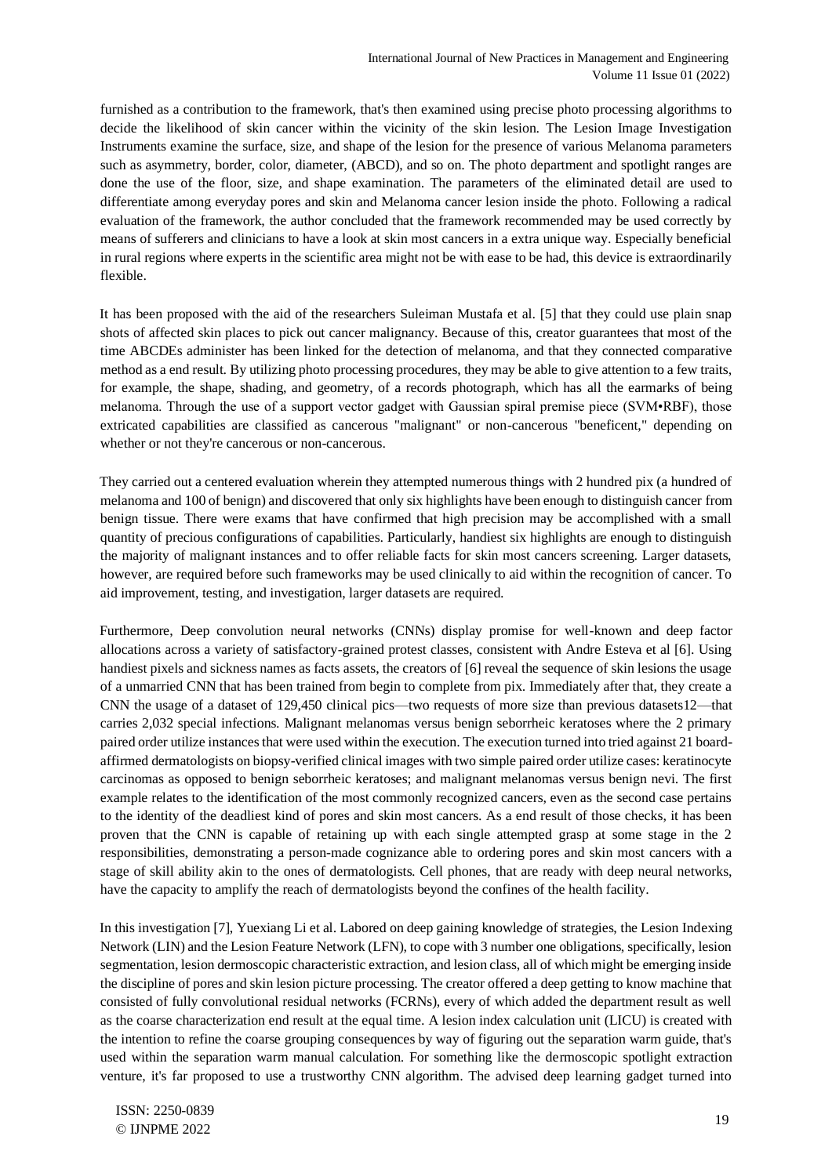furnished as a contribution to the framework, that's then examined using precise photo processing algorithms to decide the likelihood of skin cancer within the vicinity of the skin lesion. The Lesion Image Investigation Instruments examine the surface, size, and shape of the lesion for the presence of various Melanoma parameters such as asymmetry, border, color, diameter, (ABCD), and so on. The photo department and spotlight ranges are done the use of the floor, size, and shape examination. The parameters of the eliminated detail are used to differentiate among everyday pores and skin and Melanoma cancer lesion inside the photo. Following a radical evaluation of the framework, the author concluded that the framework recommended may be used correctly by means of sufferers and clinicians to have a look at skin most cancers in a extra unique way. Especially beneficial in rural regions where experts in the scientific area might not be with ease to be had, this device is extraordinarily flexible.

It has been proposed with the aid of the researchers Suleiman Mustafa et al. [5] that they could use plain snap shots of affected skin places to pick out cancer malignancy. Because of this, creator guarantees that most of the time ABCDEs administer has been linked for the detection of melanoma, and that they connected comparative method as a end result. By utilizing photo processing procedures, they may be able to give attention to a few traits, for example, the shape, shading, and geometry, of a records photograph, which has all the earmarks of being melanoma. Through the use of a support vector gadget with Gaussian spiral premise piece (SVM•RBF), those extricated capabilities are classified as cancerous "malignant" or non-cancerous "beneficent," depending on whether or not they're cancerous or non-cancerous.

They carried out a centered evaluation wherein they attempted numerous things with 2 hundred pix (a hundred of melanoma and 100 of benign) and discovered that only six highlights have been enough to distinguish cancer from benign tissue. There were exams that have confirmed that high precision may be accomplished with a small quantity of precious configurations of capabilities. Particularly, handiest six highlights are enough to distinguish the majority of malignant instances and to offer reliable facts for skin most cancers screening. Larger datasets, however, are required before such frameworks may be used clinically to aid within the recognition of cancer. To aid improvement, testing, and investigation, larger datasets are required.

Furthermore, Deep convolution neural networks (CNNs) display promise for well-known and deep factor allocations across a variety of satisfactory-grained protest classes, consistent with Andre Esteva et al [6]. Using handiest pixels and sickness names as facts assets, the creators of [6] reveal the sequence of skin lesions the usage of a unmarried CNN that has been trained from begin to complete from pix. Immediately after that, they create a CNN the usage of a dataset of 129,450 clinical pics—two requests of more size than previous datasets12—that carries 2,032 special infections. Malignant melanomas versus benign seborrheic keratoses where the 2 primary paired order utilize instances that were used within the execution. The execution turned into tried against 21 boardaffirmed dermatologists on biopsy-verified clinical images with two simple paired order utilize cases: keratinocyte carcinomas as opposed to benign seborrheic keratoses; and malignant melanomas versus benign nevi. The first example relates to the identification of the most commonly recognized cancers, even as the second case pertains to the identity of the deadliest kind of pores and skin most cancers. As a end result of those checks, it has been proven that the CNN is capable of retaining up with each single attempted grasp at some stage in the 2 responsibilities, demonstrating a person-made cognizance able to ordering pores and skin most cancers with a stage of skill ability akin to the ones of dermatologists. Cell phones, that are ready with deep neural networks, have the capacity to amplify the reach of dermatologists beyond the confines of the health facility.

In this investigation [7], Yuexiang Li et al. Labored on deep gaining knowledge of strategies, the Lesion Indexing Network (LIN) and the Lesion Feature Network (LFN), to cope with 3 number one obligations, specifically, lesion segmentation, lesion dermoscopic characteristic extraction, and lesion class, all of which might be emerging inside the discipline of pores and skin lesion picture processing. The creator offered a deep getting to know machine that consisted of fully convolutional residual networks (FCRNs), every of which added the department result as well as the coarse characterization end result at the equal time. A lesion index calculation unit (LICU) is created with the intention to refine the coarse grouping consequences by way of figuring out the separation warm guide, that's used within the separation warm manual calculation. For something like the dermoscopic spotlight extraction venture, it's far proposed to use a trustworthy CNN algorithm. The advised deep learning gadget turned into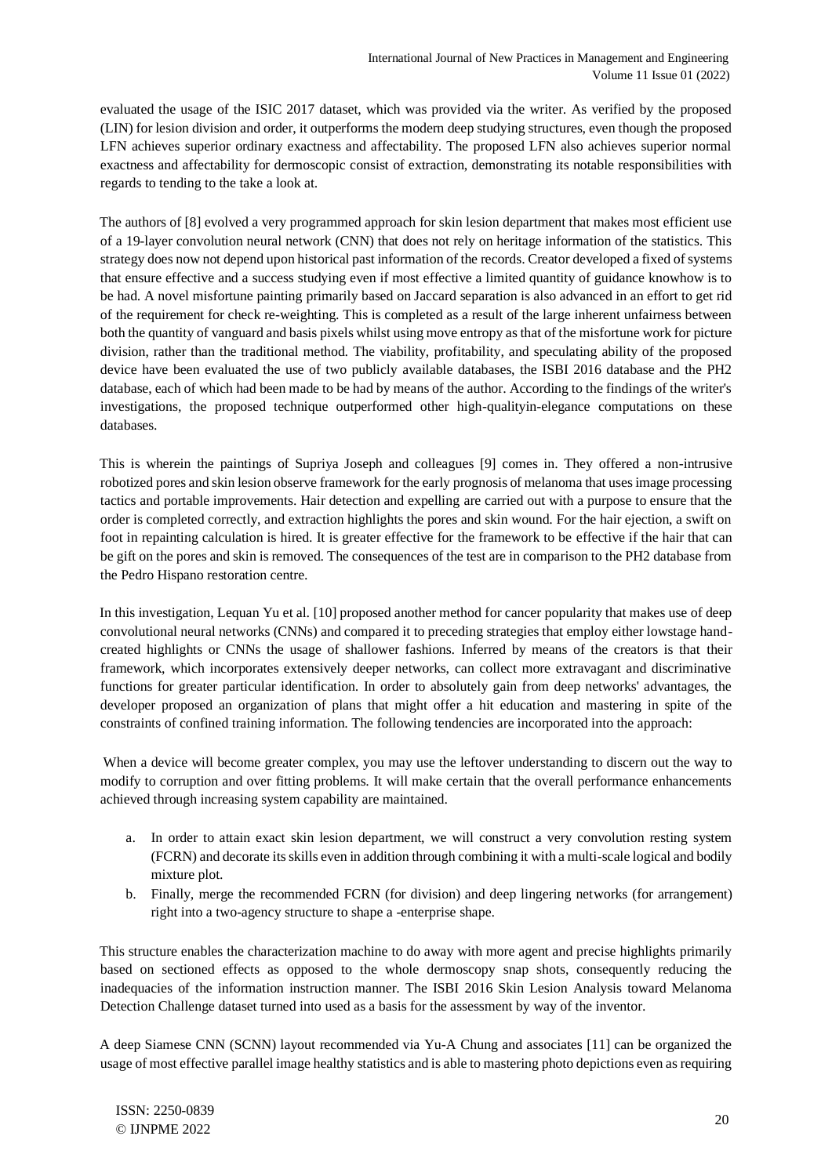evaluated the usage of the ISIC 2017 dataset, which was provided via the writer. As verified by the proposed (LIN) for lesion division and order, it outperforms the modern deep studying structures, even though the proposed LFN achieves superior ordinary exactness and affectability. The proposed LFN also achieves superior normal exactness and affectability for dermoscopic consist of extraction, demonstrating its notable responsibilities with regards to tending to the take a look at.

The authors of [8] evolved a very programmed approach for skin lesion department that makes most efficient use of a 19-layer convolution neural network (CNN) that does not rely on heritage information of the statistics. This strategy does now not depend upon historical past information of the records. Creator developed a fixed of systems that ensure effective and a success studying even if most effective a limited quantity of guidance knowhow is to be had. A novel misfortune painting primarily based on Jaccard separation is also advanced in an effort to get rid of the requirement for check re-weighting. This is completed as a result of the large inherent unfairness between both the quantity of vanguard and basis pixels whilst using move entropy as that of the misfortune work for picture division, rather than the traditional method. The viability, profitability, and speculating ability of the proposed device have been evaluated the use of two publicly available databases, the ISBI 2016 database and the PH2 database, each of which had been made to be had by means of the author. According to the findings of the writer's investigations, the proposed technique outperformed other high-qualityin-elegance computations on these databases.

This is wherein the paintings of Supriya Joseph and colleagues [9] comes in. They offered a non-intrusive robotized pores and skin lesion observe framework for the early prognosis of melanoma that uses image processing tactics and portable improvements. Hair detection and expelling are carried out with a purpose to ensure that the order is completed correctly, and extraction highlights the pores and skin wound. For the hair ejection, a swift on foot in repainting calculation is hired. It is greater effective for the framework to be effective if the hair that can be gift on the pores and skin is removed. The consequences of the test are in comparison to the PH2 database from the Pedro Hispano restoration centre.

In this investigation, Lequan Yu et al. [10] proposed another method for cancer popularity that makes use of deep convolutional neural networks (CNNs) and compared it to preceding strategies that employ either lowstage handcreated highlights or CNNs the usage of shallower fashions. Inferred by means of the creators is that their framework, which incorporates extensively deeper networks, can collect more extravagant and discriminative functions for greater particular identification. In order to absolutely gain from deep networks' advantages, the developer proposed an organization of plans that might offer a hit education and mastering in spite of the constraints of confined training information. The following tendencies are incorporated into the approach:

When a device will become greater complex, you may use the leftover understanding to discern out the way to modify to corruption and over fitting problems. It will make certain that the overall performance enhancements achieved through increasing system capability are maintained.

- a. In order to attain exact skin lesion department, we will construct a very convolution resting system (FCRN) and decorate its skills even in addition through combining it with a multi-scale logical and bodily mixture plot.
- b. Finally, merge the recommended FCRN (for division) and deep lingering networks (for arrangement) right into a two-agency structure to shape a -enterprise shape.

This structure enables the characterization machine to do away with more agent and precise highlights primarily based on sectioned effects as opposed to the whole dermoscopy snap shots, consequently reducing the inadequacies of the information instruction manner. The ISBI 2016 Skin Lesion Analysis toward Melanoma Detection Challenge dataset turned into used as a basis for the assessment by way of the inventor.

A deep Siamese CNN (SCNN) layout recommended via Yu-A Chung and associates [11] can be organized the usage of most effective parallel image healthy statistics and is able to mastering photo depictions even as requiring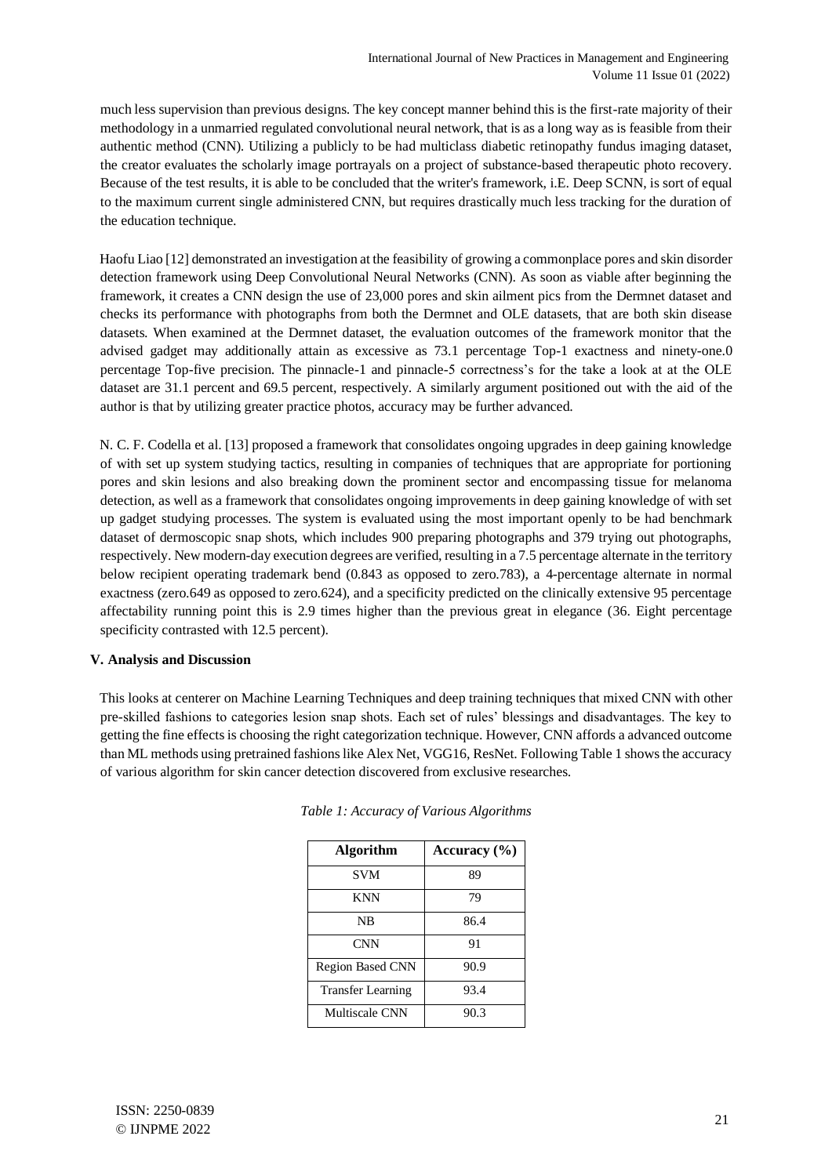much less supervision than previous designs. The key concept manner behind this is the first-rate majority of their methodology in a unmarried regulated convolutional neural network, that is as a long way as is feasible from their authentic method (CNN). Utilizing a publicly to be had multiclass diabetic retinopathy fundus imaging dataset, the creator evaluates the scholarly image portrayals on a project of substance-based therapeutic photo recovery. Because of the test results, it is able to be concluded that the writer's framework, i.E. Deep SCNN, is sort of equal to the maximum current single administered CNN, but requires drastically much less tracking for the duration of the education technique.

Haofu Liao [12] demonstrated an investigation at the feasibility of growing a commonplace pores and skin disorder detection framework using Deep Convolutional Neural Networks (CNN). As soon as viable after beginning the framework, it creates a CNN design the use of 23,000 pores and skin ailment pics from the Dermnet dataset and checks its performance with photographs from both the Dermnet and OLE datasets, that are both skin disease datasets. When examined at the Dermnet dataset, the evaluation outcomes of the framework monitor that the advised gadget may additionally attain as excessive as 73.1 percentage Top-1 exactness and ninety-one.0 percentage Top-five precision. The pinnacle-1 and pinnacle-5 correctness's for the take a look at at the OLE dataset are 31.1 percent and 69.5 percent, respectively. A similarly argument positioned out with the aid of the author is that by utilizing greater practice photos, accuracy may be further advanced.

N. C. F. Codella et al. [13] proposed a framework that consolidates ongoing upgrades in deep gaining knowledge of with set up system studying tactics, resulting in companies of techniques that are appropriate for portioning pores and skin lesions and also breaking down the prominent sector and encompassing tissue for melanoma detection, as well as a framework that consolidates ongoing improvements in deep gaining knowledge of with set up gadget studying processes. The system is evaluated using the most important openly to be had benchmark dataset of dermoscopic snap shots, which includes 900 preparing photographs and 379 trying out photographs, respectively. New modern-day execution degrees are verified, resulting in a 7.5 percentage alternate in the territory below recipient operating trademark bend (0.843 as opposed to zero.783), a 4-percentage alternate in normal exactness (zero.649 as opposed to zero.624), and a specificity predicted on the clinically extensive 95 percentage affectability running point this is 2.9 times higher than the previous great in elegance (36. Eight percentage specificity contrasted with 12.5 percent).

# **V. Analysis and Discussion**

This looks at centerer on Machine Learning Techniques and deep training techniques that mixed CNN with other pre-skilled fashions to categories lesion snap shots. Each set of rules' blessings and disadvantages. The key to getting the fine effects is choosing the right categorization technique. However, CNN affords a advanced outcome than ML methods using pretrained fashions like Alex Net, VGG16, ResNet. Following Table 1 shows the accuracy of various algorithm for skin cancer detection discovered from exclusive researches.

| Algorithm                | Accuracy $(\% )$ |  |  |
|--------------------------|------------------|--|--|
| <b>SVM</b>               | 89               |  |  |
| <b>KNN</b>               | 79               |  |  |
| NB                       | 86.4             |  |  |
| <b>CNN</b>               | 91               |  |  |
| <b>Region Based CNN</b>  | 90.9             |  |  |
| <b>Transfer Learning</b> | 93.4             |  |  |
| Multiscale CNN           | 90.3             |  |  |

| Table 1: Accuracy of Various Algorithms |  |  |  |
|-----------------------------------------|--|--|--|
|-----------------------------------------|--|--|--|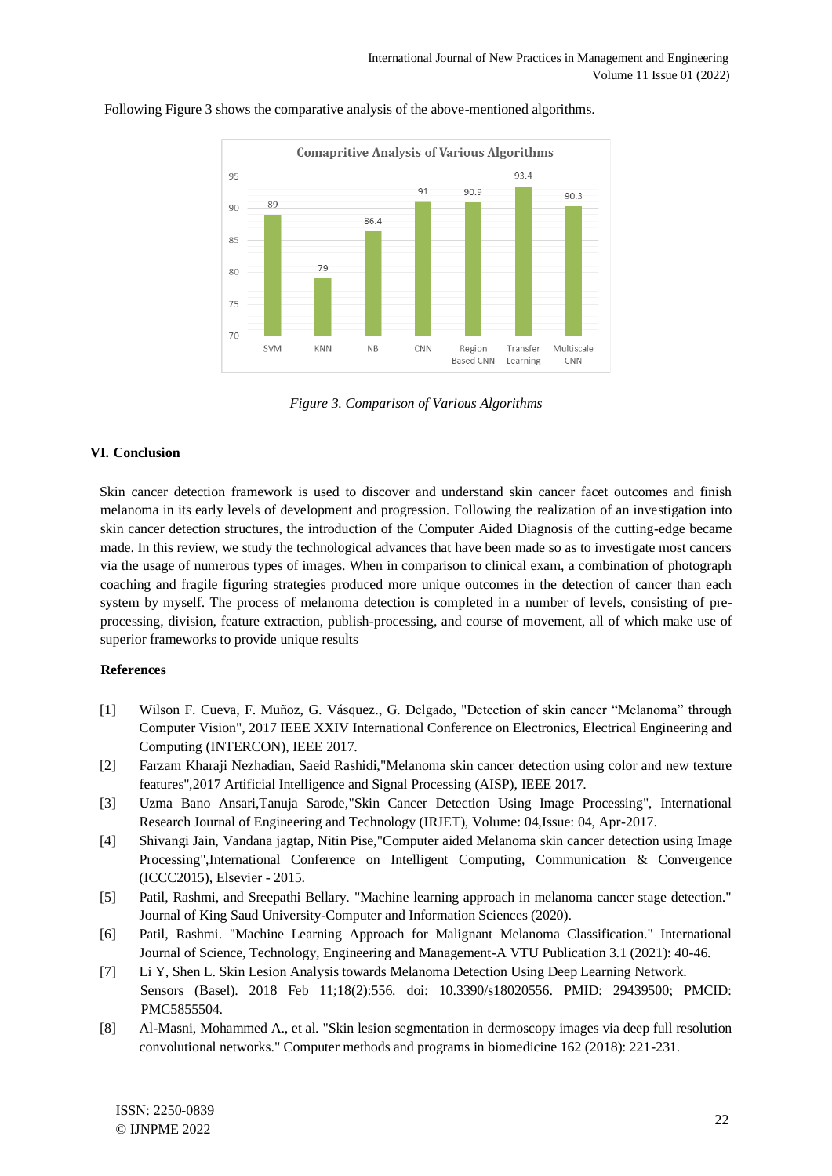

Following Figure 3 shows the comparative analysis of the above-mentioned algorithms.

*Figure 3. Comparison of Various Algorithms* 

### **VI. Conclusion**

Skin cancer detection framework is used to discover and understand skin cancer facet outcomes and finish melanoma in its early levels of development and progression. Following the realization of an investigation into skin cancer detection structures, the introduction of the Computer Aided Diagnosis of the cutting-edge became made. In this review, we study the technological advances that have been made so as to investigate most cancers via the usage of numerous types of images. When in comparison to clinical exam, a combination of photograph coaching and fragile figuring strategies produced more unique outcomes in the detection of cancer than each system by myself. The process of melanoma detection is completed in a number of levels, consisting of preprocessing, division, feature extraction, publish-processing, and course of movement, all of which make use of superior frameworks to provide unique results

### **References**

- [1] Wilson F. Cueva, F. Muñoz, G. Vásquez., G. Delgado, "Detection of skin cancer "Melanoma" through Computer Vision", 2017 IEEE XXIV International Conference on Electronics, Electrical Engineering and Computing (INTERCON), IEEE 2017.
- [2] Farzam Kharaji Nezhadian, Saeid Rashidi,"Melanoma skin cancer detection using color and new texture features",2017 Artificial Intelligence and Signal Processing (AISP), IEEE 2017.
- [3] Uzma Bano Ansari,Tanuja Sarode,"Skin Cancer Detection Using Image Processing", International Research Journal of Engineering and Technology (IRJET), Volume: 04,Issue: 04, Apr-2017.
- [4] Shivangi Jain, Vandana jagtap, Nitin Pise,"Computer aided Melanoma skin cancer detection using Image Processing",International Conference on Intelligent Computing, Communication & Convergence (ICCC2015), Elsevier - 2015.
- [5] Patil, Rashmi, and Sreepathi Bellary. "Machine learning approach in melanoma cancer stage detection." Journal of King Saud University-Computer and Information Sciences (2020).
- [6] Patil, Rashmi. "Machine Learning Approach for Malignant Melanoma Classification." International Journal of Science, Technology, Engineering and Management-A VTU Publication 3.1 (2021): 40-46.
- [7] Li Y, Shen L. Skin Lesion Analysis towards Melanoma Detection Using Deep Learning Network. Sensors (Basel). 2018 Feb 11;18(2):556. doi: 10.3390/s18020556. PMID: 29439500; PMCID: PMC5855504.
- [8] Al-Masni, Mohammed A., et al. "Skin lesion segmentation in dermoscopy images via deep full resolution convolutional networks." Computer methods and programs in biomedicine 162 (2018): 221-231.